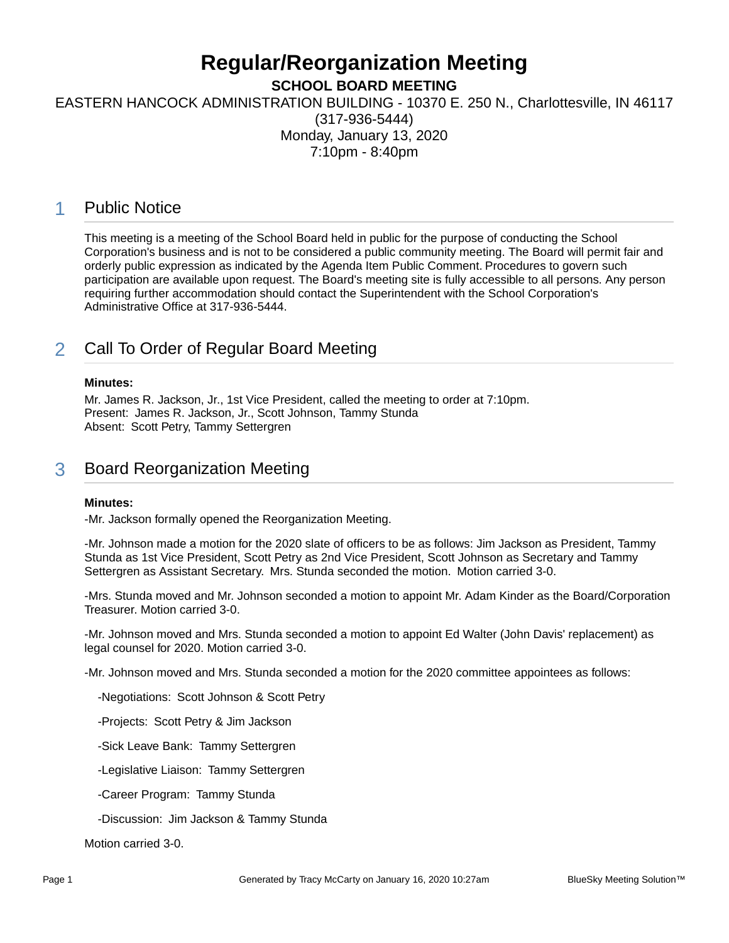# **Regular/Reorganization Meeting**

**SCHOOL BOARD MEETING**

EASTERN HANCOCK ADMINISTRATION BUILDING - 10370 E. 250 N., Charlottesville, IN 46117

(317-936-5444) Monday, January 13, 2020 7:10pm - 8:40pm

### 1 Public Notice

This meeting is a meeting of the School Board held in public for the purpose of conducting the School Corporation's business and is not to be considered a public community meeting. The Board will permit fair and orderly public expression as indicated by the Agenda Item Public Comment. Procedures to govern such participation are available upon request. The Board's meeting site is fully accessible to all persons. Any person requiring further accommodation should contact the Superintendent with the School Corporation's Administrative Office at 317-936-5444.

### 2 Call To Order of Regular Board Meeting

### **Minutes:**

Mr. James R. Jackson, Jr., 1st Vice President, called the meeting to order at 7:10pm. Present: James R. Jackson, Jr., Scott Johnson, Tammy Stunda Absent: Scott Petry, Tammy Settergren

### 3 Board Reorganization Meeting

### **Minutes:**

-Mr. Jackson formally opened the Reorganization Meeting.

-Mr. Johnson made a motion for the 2020 slate of officers to be as follows: Jim Jackson as President, Tammy Stunda as 1st Vice President, Scott Petry as 2nd Vice President, Scott Johnson as Secretary and Tammy Settergren as Assistant Secretary. Mrs. Stunda seconded the motion. Motion carried 3-0.

-Mrs. Stunda moved and Mr. Johnson seconded a motion to appoint Mr. Adam Kinder as the Board/Corporation Treasurer. Motion carried 3-0.

-Mr. Johnson moved and Mrs. Stunda seconded a motion to appoint Ed Walter (John Davis' replacement) as legal counsel for 2020. Motion carried 3-0.

-Mr. Johnson moved and Mrs. Stunda seconded a motion for the 2020 committee appointees as follows:

-Negotiations: Scott Johnson & Scott Petry

-Projects: Scott Petry & Jim Jackson

-Sick Leave Bank: Tammy Settergren

-Legislative Liaison: Tammy Settergren

-Career Program: Tammy Stunda

-Discussion: Jim Jackson & Tammy Stunda

Motion carried 3-0.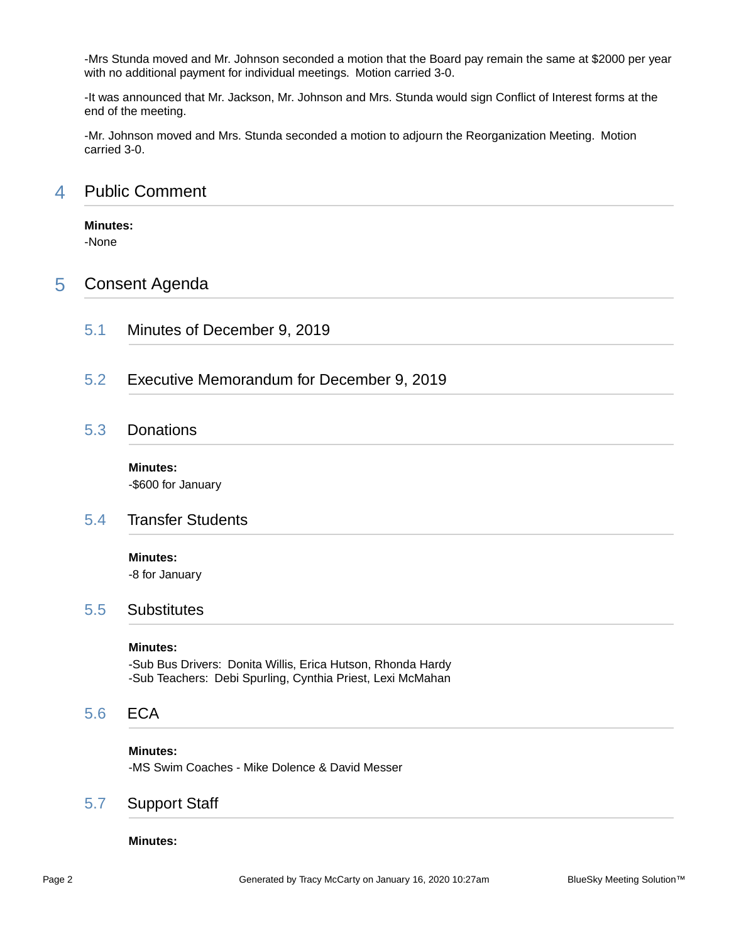-Mrs Stunda moved and Mr. Johnson seconded a motion that the Board pay remain the same at \$2000 per year with no additional payment for individual meetings. Motion carried 3-0.

-It was announced that Mr. Jackson, Mr. Johnson and Mrs. Stunda would sign Conflict of Interest forms at the end of the meeting.

-Mr. Johnson moved and Mrs. Stunda seconded a motion to adjourn the Reorganization Meeting. Motion carried 3-0.

### 4 Public Comment

### **Minutes:**

-None

### 5 Consent Agenda

- 5.1 Minutes of December 9, 2019
- 5.2 Executive Memorandum for December 9, 2019

### 5.3 Donations

**Minutes:** -\$600 for January

### 5.4 Transfer Students

#### **Minutes:**

-8 for January

### 5.5 Substitutes

#### **Minutes:**

-Sub Bus Drivers: Donita Willis, Erica Hutson, Rhonda Hardy -Sub Teachers: Debi Spurling, Cynthia Priest, Lexi McMahan

### 5.6 ECA

#### **Minutes:**

-MS Swim Coaches - Mike Dolence & David Messer

### 5.7 Support Staff

#### **Minutes:**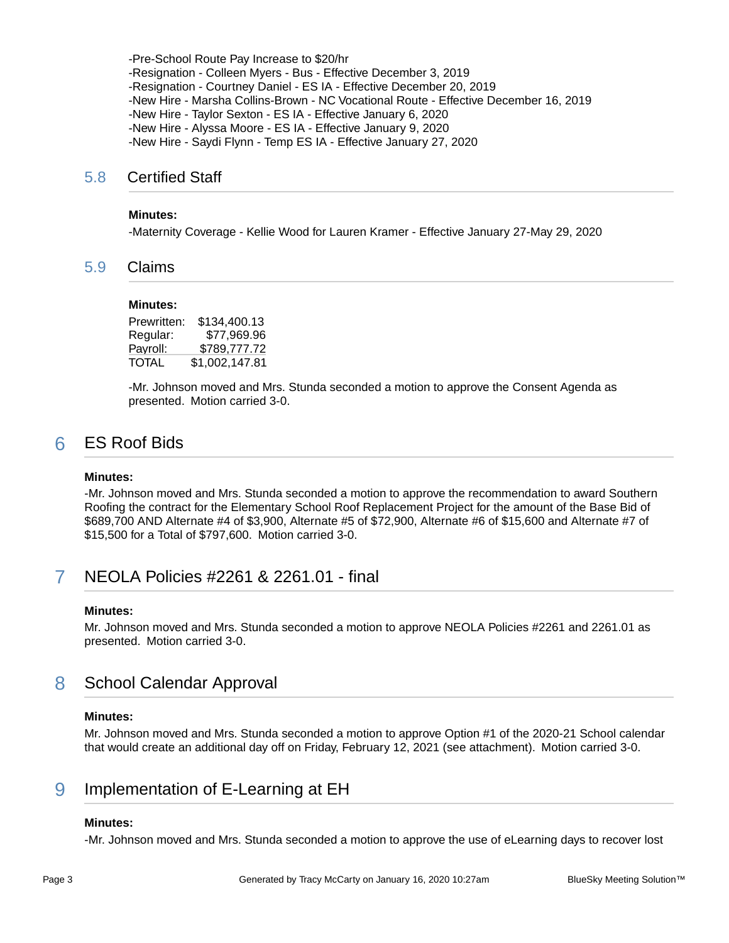-Pre-School Route Pay Increase to \$20/hr -Resignation - Colleen Myers - Bus - Effective December 3, 2019 -Resignation - Courtney Daniel - ES IA - Effective December 20, 2019 -New Hire - Marsha Collins-Brown - NC Vocational Route - Effective December 16, 2019 -New Hire - Taylor Sexton - ES IA - Effective January 6, 2020 -New Hire - Alyssa Moore - ES IA - Effective January 9, 2020 -New Hire - Saydi Flynn - Temp ES IA - Effective January 27, 2020

### 5.8 Certified Staff

#### **Minutes:**

-Maternity Coverage - Kellie Wood for Lauren Kramer - Effective January 27-May 29, 2020

### 5.9 Claims

#### **Minutes:**

Prewritten: \$134,400.13 Regular: \$77,969.96 Payroll: \$789,777.72 TOTAL \$1,002,147.81

-Mr. Johnson moved and Mrs. Stunda seconded a motion to approve the Consent Agenda as presented. Motion carried 3-0.

### 6 ES Roof Bids

#### **Minutes:**

-Mr. Johnson moved and Mrs. Stunda seconded a motion to approve the recommendation to award Southern Roofing the contract for the Elementary School Roof Replacement Project for the amount of the Base Bid of \$689,700 AND Alternate #4 of \$3,900, Alternate #5 of \$72,900, Alternate #6 of \$15,600 and Alternate #7 of \$15,500 for a Total of \$797,600. Motion carried 3-0.

### 7 NEOLA Policies #2261 & 2261.01 - final

#### **Minutes:**

Mr. Johnson moved and Mrs. Stunda seconded a motion to approve NEOLA Policies #2261 and 2261.01 as presented. Motion carried 3-0.

### 8 School Calendar Approval

#### **Minutes:**

Mr. Johnson moved and Mrs. Stunda seconded a motion to approve Option #1 of the 2020-21 School calendar that would create an additional day off on Friday, February 12, 2021 (see attachment). Motion carried 3-0.

### 9 Implementation of E-Learning at EH

### **Minutes:**

-Mr. Johnson moved and Mrs. Stunda seconded a motion to approve the use of eLearning days to recover lost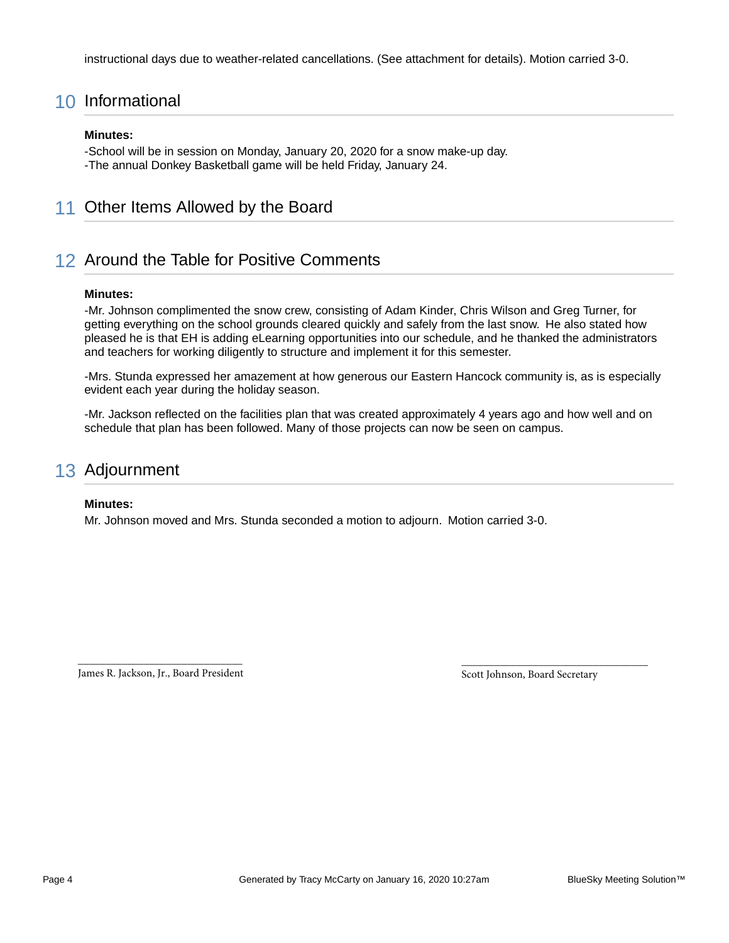instructional days due to weather-related cancellations. (See attachment for details). Motion carried 3-0.

### 10 Informational

#### **Minutes:**

-School will be in session on Monday, January 20, 2020 for a snow make-up day. -The annual Donkey Basketball game will be held Friday, January 24.

### 11 Other Items Allowed by the Board

### 12 Around the Table for Positive Comments

#### **Minutes:**

-Mr. Johnson complimented the snow crew, consisting of Adam Kinder, Chris Wilson and Greg Turner, for getting everything on the school grounds cleared quickly and safely from the last snow. He also stated how pleased he is that EH is adding eLearning opportunities into our schedule, and he thanked the administrators and teachers for working diligently to structure and implement it for this semester.

-Mrs. Stunda expressed her amazement at how generous our Eastern Hancock community is, as is especially evident each year during the holiday season.

-Mr. Jackson reflected on the facilities plan that was created approximately 4 years ago and how well and on schedule that plan has been followed. Many of those projects can now be seen on campus.

### 13 Adjournment

#### **Minutes:**

Mr. Johnson moved and Mrs. Stunda seconded a motion to adjourn. Motion carried 3-0.

\_\_\_\_\_\_\_\_\_\_\_\_\_\_\_\_\_\_\_\_\_\_\_\_\_\_\_\_\_\_ James R. Jackson, Jr., Board President

Scott Johnson, Board Secretary

\_\_\_\_\_\_\_\_\_\_\_\_\_\_\_\_\_\_\_\_\_\_\_\_\_\_\_\_\_\_\_\_\_\_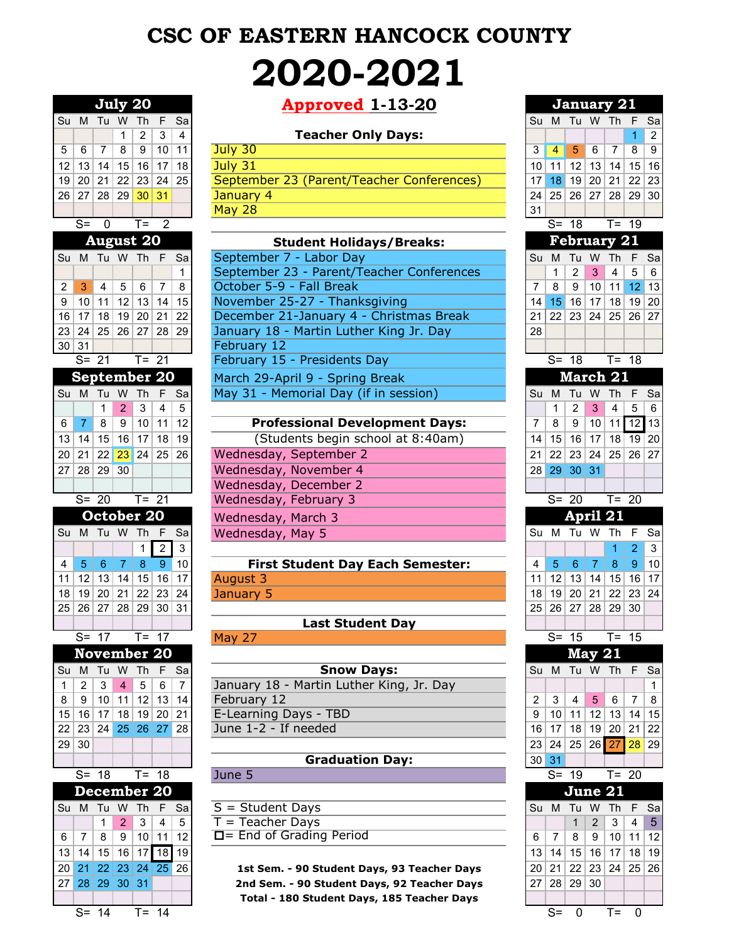# **CSC OF EASTERN HANCOCK COUNTY 2020-2021**

|                       |                       |                 | July 20            |                     |                |                      | <b>Approved 1-13-20</b>                     |                 |                 | <b>January 21</b>                   |                |                |                |
|-----------------------|-----------------------|-----------------|--------------------|---------------------|----------------|----------------------|---------------------------------------------|-----------------|-----------------|-------------------------------------|----------------|----------------|----------------|
|                       | Su M Tu W             |                 |                    | <b>Th</b>           | F              | Sa                   |                                             |                 |                 | Su M Tu W Th F                      |                |                |                |
|                       |                       |                 | 1                  | $\overline{2}$      | 3              | 4                    | <b>Teacher Only Days:</b>                   |                 |                 |                                     |                |                | $\overline{1}$ |
| 5                     | 6                     | 7               | 8                  | 9                   | 10             | 11                   | July 30                                     | 3               | $\overline{4}$  | 5                                   | 6              | $\overline{7}$ | 8              |
| 12                    | 13                    | 14              | 15                 | 16                  | 17             | 18                   | July 31                                     | 10 <sup>1</sup> | 11              | 12                                  | 13             | 14             | 15             |
| 19                    | 20 <sup>1</sup>       | 21              | 22                 |                     | 23 24          | 25                   | September 23 (Parent/Teacher Conferences)   | 17              | 18              | 19                                  | 20             | 21             | 22             |
| 261                   | 27                    |                 | 28 29              |                     | 30 31          |                      | January 4                                   | 24              |                 | 25 26 27                            |                | 28             | 29             |
|                       |                       |                 |                    |                     |                |                      | <b>May 28</b>                               | 31              |                 |                                     |                |                |                |
|                       | $S=$                  | $\mathbf 0$     |                    | $T =$               | $\overline{2}$ |                      |                                             |                 |                 | $S = 18$                            |                | $T = 19$       |                |
|                       |                       |                 | <b>August 20</b>   |                     |                |                      | <b>Student Holidays/Breaks:</b>             |                 |                 | <b>February 21</b>                  |                |                |                |
|                       | Su M Tu W Th F        |                 |                    |                     |                | Sa                   | September 7 - Labor Day                     |                 | Su M            | Tu W                                |                | <b>Th</b>      | - F            |
|                       |                       |                 |                    |                     |                | 1                    | September 23 - Parent/Teacher Conferences   |                 | 1               | $\overline{2}$                      | 3              | $\overline{4}$ |                |
| 2                     | 3                     | $\overline{4}$  | 5                  | 6                   | $\overline{7}$ | 8                    | October 5-9 - Fall Break                    | 7               | 8               | 9                                   | 10             | 11             | 12             |
| 9                     | 10                    | 11              | 12                 | 13                  | 14             | 15                   | November 25-27 - Thanksgiving               | 14              | 15 <sup>1</sup> | 16                                  | 17             | 18 19          |                |
| 16                    | 17                    |                 | 18 19              |                     | 20 21          | 22                   | December 21-January 4 - Christmas Break     | 211             |                 | 22 23                               | 24             | 25 26          |                |
| 23                    | 24                    |                 | 25 26 27 28        |                     |                | 29                   | January 18 - Martin Luther King Jr. Day     | 28              |                 |                                     |                |                |                |
|                       | 30 31                 |                 |                    |                     |                |                      | February 12                                 |                 |                 |                                     |                |                |                |
|                       |                       | $S = 21$        |                    |                     | $T = 21$       |                      | February 15 - Presidents Day                |                 |                 | $S = 18$                            |                | $T = 18$       |                |
|                       | September 20          |                 |                    |                     |                |                      | March 29-April 9 - Spring Break             |                 |                 | March 21                            |                |                |                |
|                       | Su M                  |                 | Tu W Th            |                     | F              | Sa                   | May 31 - Memorial Day (if in session)       |                 |                 | Su M Tu W                           |                | Th F           |                |
|                       |                       | $\mathbf{1}$    | $\overline{2}$     | $\mathbf{3}$        | $\overline{4}$ | 5                    |                                             |                 | 1               | $\overline{2}$                      | 3              | $\overline{4}$ |                |
|                       |                       | 8               | 9                  | 10                  | 11             | 12                   | <b>Professional Development Days:</b>       |                 | 8               | 9                                   | 10             | $11$ $12$      |                |
| 6                     | 7                     |                 |                    |                     |                |                      |                                             | 7               |                 |                                     |                |                |                |
| 13                    | 14                    | 15              | 16                 | 17                  | 18             | 19                   | (Students begin school at 8:40am)           | 14              | 15              | 16                                  | 17             | $18$ 19        |                |
| 20                    | 21                    |                 | $22$ $23$          | 24 25               |                | 26                   | Wednesday, September 2                      | 21              | 22              | 23                                  | 24             | 25             | 26             |
| 27                    | 28                    |                 | 29 30              |                     |                |                      | Wednesday, November 4                       |                 |                 | 28 29 30 31                         |                |                |                |
|                       |                       |                 |                    |                     |                |                      | Wednesday, December 2                       |                 |                 |                                     |                |                |                |
|                       |                       | $S = 20$        |                    | $\overline{T} = 21$ |                |                      | Wednesday, February 3                       |                 |                 | $S = 20$                            |                | $T = 20$       |                |
|                       |                       |                 | October 20         |                     |                |                      | Wednesday, March 3                          |                 |                 | April 21                            |                |                |                |
|                       | Su M Tu W Th F        |                 |                    |                     |                | Sa                   | Wednesday, May 5                            |                 |                 | Su M Tu W                           |                | Th F           |                |
|                       |                       |                 |                    | $\mathbf{1}$        | $\overline{2}$ | $\mathbf{3}$         |                                             |                 |                 |                                     |                | 1              |                |
| 4                     | $\overline{5}$        | 6               | $\overline{7}$     | $\boldsymbol{8}$    | 9              | 10                   | <b>First Student Day Each Semester:</b>     | 4               | 5               | 6                                   | $\overline{7}$ | 8              |                |
| 11                    | 12                    |                 | 13 14              | 15                  | 16             | 17                   | August 3                                    | 11              | 12              | 13                                  | 14             | 15 16          |                |
| 18                    | 19                    | 20 <sup>2</sup> | 21                 |                     | 22 23          | 24                   | January 5                                   | 18              | 19              |                                     | 20 21          | 22 23          |                |
| 25                    | 26                    | 27              | 28                 | 29                  | 30             | 31                   |                                             | 25              | 26              | 27                                  | 28             | 29             |                |
|                       |                       |                 |                    |                     |                |                      | <b>Last Student Day</b>                     |                 |                 |                                     |                |                |                |
|                       |                       | $S = 17$        |                    | $T = 17$            |                |                      | May 27                                      |                 |                 | $S = 15$                            |                | $T = 15$       |                |
|                       |                       |                 | <b>November 20</b> |                     |                |                      |                                             |                 |                 |                                     | <b>May 21</b>  |                |                |
|                       | Su M                  |                 | Tu W Th F          |                     |                | Sa                   | <b>Snow Days:</b>                           |                 |                 | Su M Tu W Th F                      |                |                |                |
| $\mathbf 1$           | $\overline{2}$        | $\sqrt{3}$      | $\overline{4}$     | 5                   | 6              | $\overline{7}$       | January 18 - Martin Luther King, Jr. Day    |                 |                 |                                     |                |                |                |
| 8                     | 9                     |                 | 10 11              | 12                  | 13             | 14                   | February 12                                 | 2               | 3               | $\overline{4}$                      | 5              | 6              |                |
| 15                    | 16                    | 17              | 18                 |                     | 19 20          | 21                   | E-Learning Days - TBD                       | 9               | 10              | 11                                  | 12             | 13 14          |                |
| 22                    | 23                    | 24              |                    | 25 26 27            |                | 28                   | June 1-2 - If needed                        | 16              | 17              | 18                                  |                | $19$ 20 21     |                |
| 29 <sub>1</sub>       | 30                    |                 |                    |                     |                |                      |                                             | 23 <sup>2</sup> | 24              | 25                                  |                | $26$ 27        |                |
|                       |                       |                 |                    |                     |                |                      | <b>Graduation Day:</b>                      |                 | 30 31           |                                     |                |                |                |
|                       |                       | $S = 18$        |                    |                     | $T = 18$       |                      | June 5                                      |                 |                 | $S = 19$                            |                | $T = 20$       |                |
|                       |                       |                 | December 20        |                     |                |                      |                                             |                 |                 | June 21                             |                |                |                |
|                       | Su M Tu W Th F        |                 |                    |                     |                | Sa                   | $S = Student$ Days                          |                 |                 | Su M Tu W                           |                | Th F           |                |
|                       |                       | $\mathbf{1}$    | 2                  | $\mathbf{3}$        | $\overline{4}$ | 5                    | $T = Teacher$ Days                          |                 |                 | $\mathbf{1}$                        | $\overline{2}$ | 3              |                |
| 6                     | 7                     | 8               | 9                  |                     | 10 11          | 12                   | $\Box$ End of Grading Period                | 6               | $\overline{7}$  | 8                                   | 9              | 10             |                |
|                       |                       |                 |                    | 16 17 18 19         |                |                      |                                             |                 |                 |                                     |                |                | 11             |
| 13                    | 14                    | 15              |                    |                     |                |                      |                                             | 13              | 14              | 15                                  | 16             | 17             | 18             |
| 20 <sub>1</sub><br>27 | 21<br>00 <sub>o</sub> | $\Omega$        | 22 23 <br>$\Omega$ |                     |                | $24 \mid 25 \mid 26$ | 1st Sem. - 90 Student Days, 93 Teacher Days |                 |                 | $20$   21   22   23  <br>no loo loo |                | 24 25          |                |
|                       |                       |                 |                    |                     |                |                      |                                             |                 |                 |                                     |                |                |                |

## **Approved 1-13-20 July 20 January 21**

### **Teacher Only Days:**

| $5 \mid 6$ |       |  | -9                   | 10 <sup>1</sup> | 11 <sup>1</sup> | July 30                                   |    | 4                    | /5/            | 6 | 89 |  |
|------------|-------|--|----------------------|-----------------|-----------------|-------------------------------------------|----|----------------------|----------------|---|----|--|
|            |       |  | 12 13 14 15 16 17 18 |                 |                 | July 31                                   |    | 10 11 12 13 14 15 16 |                |   |    |  |
|            |       |  | 19 20 21 22 23 24 25 |                 |                 | September 23 (Parent/Teacher Conferences) |    | 17 18 19 20 21 22 23 |                |   |    |  |
|            | 26 27 |  | 28 29 30 31          |                 |                 | January 4                                 |    | 24 25                | 26 27 28 29 30 |   |    |  |
|            |       |  |                      |                 |                 | <b>May 28</b>                             | 31 |                      |                |   |    |  |

| <b>August 20</b> |                     |                 | <b>Student Holidays/Breaks:</b> |                |                                  |                                           |    |                 |                 |                 | <b>February 21</b> |            |  |
|------------------|---------------------|-----------------|---------------------------------|----------------|----------------------------------|-------------------------------------------|----|-----------------|-----------------|-----------------|--------------------|------------|--|
|                  |                     |                 |                                 |                | Su M Tu W Th F Sa                | September 7 - Labor Day                   |    |                 | Su M Tu W       |                 | Th F Sa            |            |  |
|                  |                     |                 |                                 |                |                                  | September 23 - Parent/Teacher Conferences |    |                 | 2               | 3 <sup>1</sup>  | $\overline{4}$     | $5 \mid 6$ |  |
| $2 \mid 3 \mid$  | $\overline{4}$      | 5               | 6                               | $\overline{7}$ | 8                                | October 5-9 - Fall Break                  |    | 8               | 9               | 10 <sup>1</sup> | 11                 | $12$ 13    |  |
| 9   10           | 11 <sup>1</sup>     | 12              |                                 | 13 14          | 15 <sub>l</sub>                  | November 25-27 - Thanksgiving             | 14 | 15 <sup>1</sup> | 16 <sup>1</sup> | 17 <sup>1</sup> | 18 <sup>1</sup>    | 19 20      |  |
| $16$   17        | 18 <sup>1</sup>     | 19 <sup>1</sup> |                                 | 20 21          | 22                               | December 21-January 4 - Christmas Break   | 21 |                 |                 |                 | 22 23 24 25 26 27  |            |  |
|                  |                     |                 |                                 |                | 23   24   25   26   27   28   29 | January 18 - Martin Luther King Jr. Day   | 28 |                 |                 |                 |                    |            |  |
| 30 31            |                     |                 |                                 |                |                                  | February 12                               |    |                 |                 |                 |                    |            |  |
| $S = 21$         |                     |                 | $T = 21$                        |                |                                  | February 15 - Presidents Day              |    | $S = 18$        |                 |                 |                    | T= 18      |  |
| September 20     |                     |                 |                                 |                |                                  | March 29-April 9 - Spring Break           |    |                 |                 |                 | March 21           |            |  |
| Su M Tu W        |                     |                 | Th F                            |                | Sa                               | May 31 - Memorial Day (if in session)     |    |                 |                 |                 | Su M Tu W Th F Sa  |            |  |
|                  | <u>La Lotata Le</u> |                 |                                 |                |                                  |                                           |    |                 |                 |                 | 400011-0           |            |  |

|  |                |  | $6$   7   8   9   10   11   12 |    | <b>Professional Development Days:</b> |  | 8 9 10 11 12 13      |  |  |
|--|----------------|--|--------------------------------|----|---------------------------------------|--|----------------------|--|--|
|  |                |  | $13$ 14 15 16 17 18            | 19 | (Students begin school at 8:40am)     |  | 14 15 16 17 18 19 20 |  |  |
|  |                |  | 20 21 22 23 24 25 26           |    | Wednesday, September 2                |  | 21 22 23 24 25 26 27 |  |  |
|  | 27 28 29 30    |  |                                |    | Wednesday, November 4                 |  | 28 29 30 31          |  |  |
|  |                |  |                                |    | Wednesday, December 2                 |  |                      |  |  |
|  | $S = 20$ T= 21 |  |                                |    | Wednesday, February 3                 |  | $S = 20$ T= 20       |  |  |
|  | October 20     |  |                                |    | Wednesday, March 3                    |  | April 21             |  |  |
|  |                |  | Su M Tu W Th F Sa              |    | Wednesday, May 5                      |  | Su M Tu W Th F Sa    |  |  |
|  |                |  |                                |    |                                       |  |                      |  |  |

### **First Student Day Each Semester:** 11 12 13 14 15 16 17 August 3 11 12 13 14 15 16 17 18 19 20 21 22 23 24 January 5 18 19 20 21 22 23 24

|       |  | Su M Tu W Th F Sa                             |  | <b>Snow Days:</b>                        | Su M Tu W Th F Sa |      |                           |      |  |
|-------|--|-----------------------------------------------|--|------------------------------------------|-------------------|------|---------------------------|------|--|
|       |  | $1 \mid 2 \mid 3 \mid 4 \mid 5 \mid 6 \mid 7$ |  | January 18 - Martin Luther King, Jr. Day |                   |      |                           |      |  |
|       |  | $8$   9   10   11   12   13   14              |  | February 12                              | $\mathcal{P}$     | $-3$ | $\overline{4}$            | 5678 |  |
|       |  | 15 16 17 18 19 20 21                          |  | E-Learning Days - TBD                    |                   |      | 9 10 11 12 13 14 15       |      |  |
|       |  | 22 23 24 25 26 27 28                          |  | June 1-2 - If needed                     |                   |      | 16 17 18 19 20 21 22      |      |  |
| ----- |  |                                               |  |                                          |                   |      | an bari sa bara a Tarihin |      |  |

### **Graduation Day:**

| Su M Tu W Th F Sal |   |     |             |                 |                | $S = Student$ Days           | ISu M Tu W Th F Sa |  |       |                          |  |
|--------------------|---|-----|-------------|-----------------|----------------|------------------------------|--------------------|--|-------|--------------------------|--|
|                    |   | 12. | 3           | $\vert 4 \vert$ | 5 <sup>1</sup> | $T = Teacher$ Days           |                    |  |       | $2 \mid 3 \mid 4 \mid 5$ |  |
| $6 \mid$           | 8 | -9  | $110$ 11 12 |                 |                | $\Box$ End of Grading Period |                    |  | . 9 ' | 10 11 12                 |  |
|                    |   |     |             |                 |                |                              |                    |  |       |                          |  |

|                 |                     | July 20     |                |                       |                |                | <b>Approved 1-13-20</b>                                                            |          |                   | <b>January 21</b>  |                    |                      |                   |                |
|-----------------|---------------------|-------------|----------------|-----------------------|----------------|----------------|------------------------------------------------------------------------------------|----------|-------------------|--------------------|--------------------|----------------------|-------------------|----------------|
|                 | Su M                | Tu W        |                | Th                    | F              | Sa             |                                                                                    | Su       |                   | M Tu W Th          |                    |                      |                   | Sa             |
|                 |                     |             | 1              | 2                     | 3              | 4              | <b>Teacher Only Days:</b>                                                          |          |                   |                    |                    |                      | 1                 | $\overline{c}$ |
| 5               | 6                   | 7           | 8              | 9                     | 10             | 11             | July 30                                                                            | 3        | $\overline{4}$    | 5                  | 6                  | 7                    | 8                 | 9              |
| 12 <sub>2</sub> | 13                  | 14          | 15             | 16                    | 17             | 18             | July 31                                                                            | 10       | 11                | 12                 | 13                 | 14                   | 15                | 16             |
| 19              | 20                  | 21          | 22             | 23                    | 24             | 25             | September 23 (Parent/Teacher Conferences)                                          | 17       | 18                | 19                 | 20                 | 21                   | 22                | 23             |
| 26              | 27                  | 28          | 29             | 30                    | 31             |                | January 4                                                                          | 24       | 25                | 26 27              |                    | 28                   | 29                | 30             |
|                 |                     |             |                |                       |                |                | <b>May 28</b>                                                                      | 31       |                   |                    |                    |                      |                   |                |
|                 | $S =$               | $\mathbf 0$ |                | $T =$                 | $\overline{2}$ |                |                                                                                    |          |                   | $S = 18$           |                    | $T =$                | 19                |                |
|                 |                     |             |                | <b>August 20</b>      |                |                | <b>Student Holidays/Breaks:</b>                                                    |          |                   | <b>February 21</b> |                    |                      |                   |                |
|                 | Su M Tu W Th F      |             |                |                       |                | Sa             | September 7 - Labor Day                                                            | Su       | M                 | Tu W               |                    | <b>Th</b>            | F                 | Sa             |
|                 |                     |             |                |                       |                | 1              | September 23 - Parent/Teacher Conferences                                          |          | 1                 | $\overline{2}$     | 3                  | 4                    | 5                 | $6\phantom{1}$ |
| $\overline{2}$  | 3                   | 4           | 5              | 6                     | $\overline{7}$ | 8              | October 5-9 - Fall Break                                                           | 7        | 8                 | 9                  | 10                 | 11                   | 12                | 13             |
| 9               | 10                  | 11          | 12             | 13                    | 14             | 15             | November 25-27 - Thanksgiving                                                      | 14       | 15                | 16                 | 17                 | 18                   | 19                | 20<br>27       |
| 16<br>23        | 17<br>24            | 18          | 19<br>25 26    | 20 <sub>1</sub><br>27 | 21<br>28       | 22<br>29       | December 21-January 4 - Christmas Break<br>January 18 - Martin Luther King Jr. Day | 21<br>28 | 22                | 23                 | 24                 | 25                   | 26                |                |
|                 | 30 31               |             |                |                       |                |                | February 12                                                                        |          |                   |                    |                    |                      |                   |                |
|                 | $S = 21$            |             |                | $T = 21$              |                |                | February 15 - Presidents Day                                                       |          | $S = 18$          |                    |                    | $T = 18$             |                   |                |
|                 | <b>September 20</b> |             |                |                       |                |                |                                                                                    |          |                   | March 21           |                    |                      |                   |                |
|                 |                     |             |                |                       |                |                | March 29-April 9 - Spring Break<br>May 31 - Memorial Day (if in session)           |          |                   | Tu W               |                    |                      |                   |                |
|                 | Su M                | Tu W<br>1   | $\overline{2}$ | Th<br>3               | F<br>4         | Sa<br>5        |                                                                                    | Su       | M<br>$\mathbf{1}$ | $\overline{2}$     | 3                  | Th<br>$\overline{4}$ | $\mathsf{F}$<br>5 | Sa<br>6        |
| 6               | $\overline{7}$      | 8           | 9              | 10                    | 11             | 12             | <b>Professional Development Days:</b>                                              | 7        | 8                 | $\boldsymbol{9}$   | 10                 | 11                   | 12                | 13             |
| 13              | 14                  | 15          | 16             | 17                    | 18             | 19             | (Students begin school at 8:40am)                                                  | 14       | 15                | 16                 | 17                 |                      | $18$   19         | 20             |
| 20              |                     | 22          | 23             | 24                    | 25             | 26             | Wednesday, September 2                                                             | 21       | 22                | 23 24              |                    | 25                   | 26                | 27             |
|                 | 21                  | 29          | $\sqrt{30}$    |                       |                |                | Wednesday, November 4                                                              | 28       | 29                | 30 31              |                    |                      |                   |                |
| 27              | 28                  |             |                |                       |                |                | Wednesday, December 2                                                              |          |                   |                    |                    |                      |                   |                |
|                 | $S = 20$            |             |                | $T = 21$              |                |                | Wednesday, February 3                                                              |          | $S = 20$          |                    |                    | $T = 20$             |                   |                |
|                 |                     |             |                | October 20            |                |                |                                                                                    |          |                   | April 21           |                    |                      |                   |                |
|                 | Su M Tu W Th F      |             |                |                       |                | Sa             | Wednesday, March 3<br>Wednesday, May 5                                             |          | Su M              | Tu W Th F          |                    |                      |                   | Sa             |
|                 |                     |             |                | 1                     | $\overline{2}$ | 3              |                                                                                    |          |                   |                    |                    | 1                    | $\overline{2}$    | 3              |
| 4               | 5                   | 6           | 7              | 8                     | 9              | 10             | <b>First Student Day Each Semester:</b>                                            | 4        | 5                 | 6                  | 7                  | 8                    | 9                 | 10             |
| 11              | 12                  | 13          | 14             | 15                    | 16             | 17             | August 3                                                                           | 11       | 12                | 13                 | 14                 | 15                   | 16                | 17             |
| 18              | 19                  | 20          | 21             | 22                    | 23             | 24             | January 5                                                                          | 18       | 19                | 20                 | 21                 | 22                   | 23                | 24             |
| 25              | 26                  | 27          | 28             | 29                    | 30             | 31             |                                                                                    | 25       | 26                | 27                 | 28                 | 29                   | 30                |                |
|                 |                     |             |                |                       |                |                | <b>Last Student Day</b>                                                            |          |                   |                    |                    |                      |                   |                |
|                 | $S = 17$            |             |                | $T = 17$              |                |                | May 27                                                                             |          | $S = 15$          |                    |                    | $T = 15$             |                   |                |
|                 | <b>November 20</b>  |             |                |                       |                |                |                                                                                    |          |                   |                    | <b>May 21</b>      |                      |                   |                |
| Su              | M                   | Tu W        |                | Th                    | F              | Sa             | <b>Snow Days:</b>                                                                  | Su       | M                 | Tu W Th F          |                    |                      |                   | Sa             |
| 1               | $\overline{c}$      | 3           | 4              | 5                     | 6              | $\overline{7}$ | January 18 - Martin Luther King, Jr. Day                                           |          |                   |                    |                    |                      |                   | 1              |
| 8               | 9                   | 10          | 11             | 12                    | 13             | 14             | February 12                                                                        | 2        | 3                 | 4                  | 5                  | 6                    | 7                 | 8              |
| 15              | 16                  | 17          | 18             | 19                    | 20             | 21             | E-Learning Days - TBD                                                              | 9        | 10                | 11                 | 12                 | 13                   | 14                | 15             |
| 22              | 23                  |             |                | $24$ 25 26 27         |                | 28             | June 1-2 - If needed                                                               | 16       | 17                | 18                 |                    | 19 20                | 21                | 22             |
| 29              | 30                  |             |                |                       |                |                |                                                                                    | 23       | 24                | 25                 | $26 \overline{27}$ |                      | 28                | 29             |
|                 |                     |             |                |                       |                |                | <b>Graduation Day:</b>                                                             | 30       | 31                |                    |                    |                      |                   |                |
|                 | $S = 18$            |             |                | $T = 18$              |                |                | June 5                                                                             |          | $S = 19$          |                    |                    | $T = 20$             |                   |                |
|                 | December 20         |             |                |                       |                |                |                                                                                    |          |                   | June 21            |                    |                      |                   |                |
|                 | Su M Tu W           |             |                | Th                    | F              | Sa             | $S = Student$ Days                                                                 |          |                   | Su M Tu W          |                    | Th                   | F                 | Sa             |
|                 |                     | 1           | 2              | 3                     | $\overline{4}$ | 5              | $T = Teacher$ Days                                                                 |          |                   | $\mathbf{1}$       | $\overline{2}$     | 3                    | 4                 | $\sqrt{5}$     |
| 6               | 7                   | 8           | 9              |                       | 10 11          | 12             | $\Box$ End of Grading Period                                                       | 6        | 7                 | 8                  | 9                  | 10 <sup>1</sup>      | 11                | 12             |
| 13              | 14                  | 15          | 16             | 17                    | 18             | 19             |                                                                                    | 13       | 14                | 15                 | 16                 | 17                   | 18                | 19             |
| 20              | 21                  | 22          | 23             | 24 25                 |                | 26             | 1st Sem. - 90 Student Days, 93 Teacher Days                                        | 20       | 21                | 22                 | 23                 | 24                   | 25                | 26             |
|                 |                     |             |                |                       |                |                |                                                                                    |          |                   |                    |                    |                      |                   |                |
| 27              | 28                  | 29          | 30             | 31                    |                |                | 2nd Sem. - 90 Student Days, 92 Teacher Days                                        | 27       |                   | 28   29   30       |                    |                      |                   |                |

S= 14 T= 14 S= 0 T= 0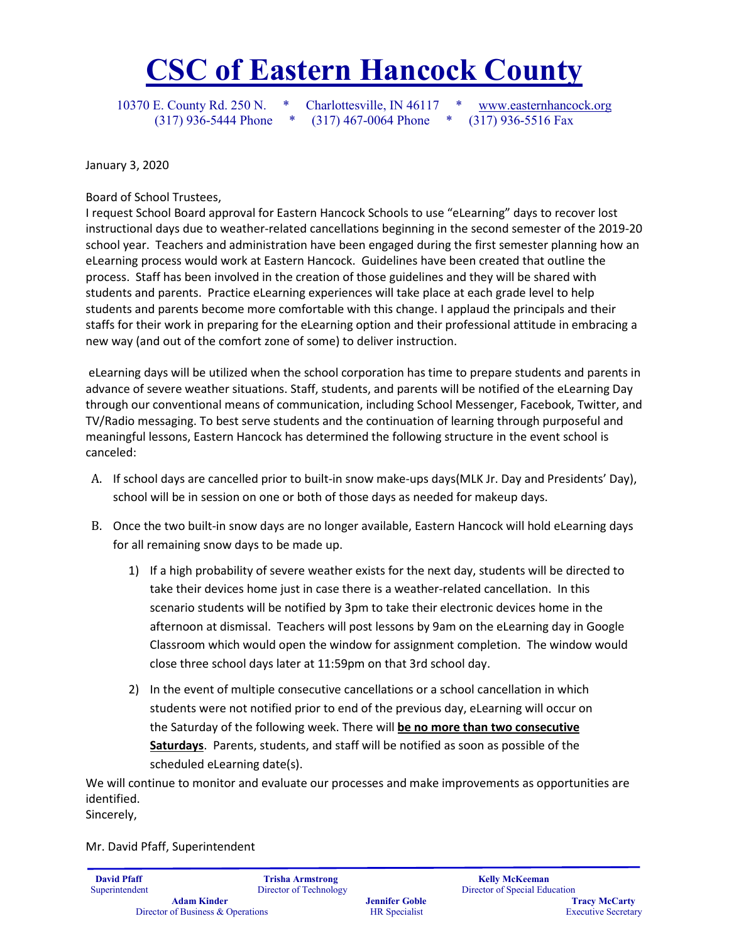# **CSC of Eastern Hancock County**

10370 E. County Rd. 250 N. \* Charlottesville, IN 46117 \* [www.easternhancock.org](http://www.easternhancock.org/)

(317) 936-5444 Phone \* (317) 467-0064 Phone \* (317) 936-5516 Fax

January 3, 2020

Board of School Trustees,

I request School Board approval for Eastern Hancock Schools to use "eLearning" days to recover lost instructional days due to weather-related cancellations beginning in the second semester of the 2019-20 school year. Teachers and administration have been engaged during the first semester planning how an eLearning process would work at Eastern Hancock. Guidelines have been created that outline the process. Staff has been involved in the creation of those guidelines and they will be shared with students and parents. Practice eLearning experiences will take place at each grade level to help students and parents become more comfortable with this change. I applaud the principals and their staffs for their work in preparing for the eLearning option and their professional attitude in embracing a new way (and out of the comfort zone of some) to deliver instruction.

eLearning days will be utilized when the school corporation has time to prepare students and parents in advance of severe weather situations. Staff, students, and parents will be notified of the eLearning Day through our conventional means of communication, including School Messenger, Facebook, Twitter, and TV/Radio messaging. To best serve students and the continuation of learning through purposeful and meaningful lessons, Eastern Hancock has determined the following structure in the event school is canceled:

- A. If school days are cancelled prior to built-in snow make-ups days(MLK Jr. Day and Presidents' Day), school will be in session on one or both of those days as needed for makeup days.
- B. Once the two built-in snow days are no longer available, Eastern Hancock will hold eLearning days for all remaining snow days to be made up.
	- 1) If a high probability of severe weather exists for the next day, students will be directed to take their devices home just in case there is a weather-related cancellation. In this scenario students will be notified by 3pm to take their electronic devices home in the afternoon at dismissal. Teachers will post lessons by 9am on the eLearning day in Google Classroom which would open the window for assignment completion. The window would close three school days later at 11:59pm on that 3rd school day.
	- 2) In the event of multiple consecutive cancellations or a school cancellation in which students were not notified prior to end of the previous day, eLearning will occur on the Saturday of the following week. There will **be no more than two consecutive Saturdays**. Parents, students, and staff will be notified as soon as possible of the scheduled eLearning date(s).

We will continue to monitor and evaluate our processes and make improvements as opportunities are identified.

Sincerely,

Mr. David Pfaff, Superintendent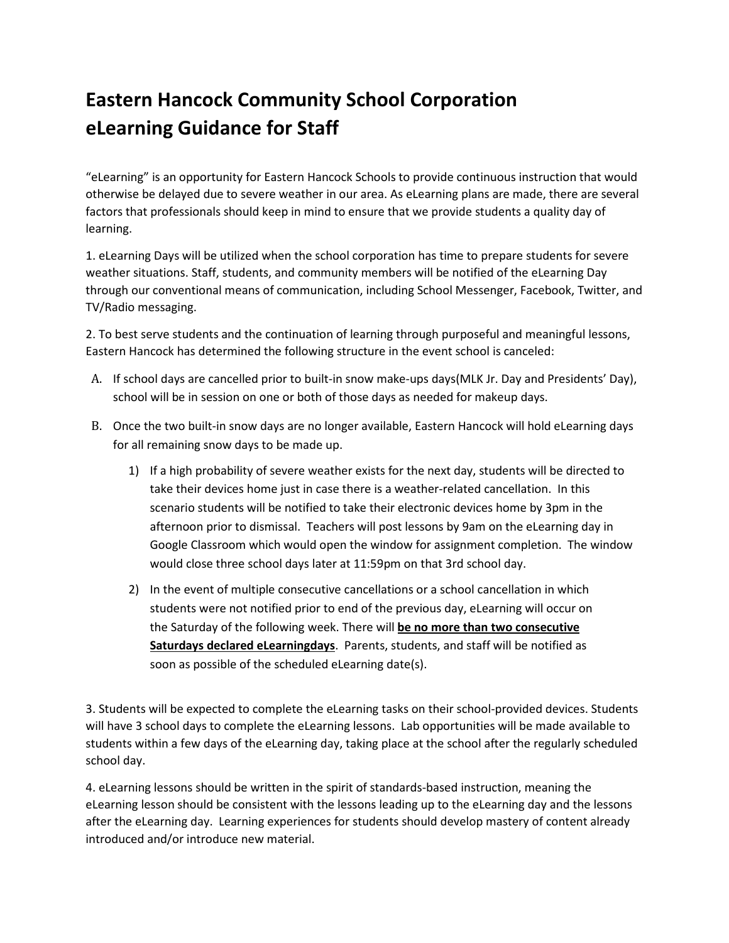# **Eastern Hancock Community School Corporation eLearning Guidance for Staff**

"eLearning" is an opportunity for Eastern Hancock Schools to provide continuous instruction that would otherwise be delayed due to severe weather in our area. As eLearning plans are made, there are several factors that professionals should keep in mind to ensure that we provide students a quality day of learning.

1. eLearning Days will be utilized when the school corporation has time to prepare students for severe weather situations. Staff, students, and community members will be notified of the eLearning Day through our conventional means of communication, including School Messenger, Facebook, Twitter, and TV/Radio messaging.

2. To best serve students and the continuation of learning through purposeful and meaningful lessons, Eastern Hancock has determined the following structure in the event school is canceled:

- A. If school days are cancelled prior to built-in snow make-ups days(MLK Jr. Day and Presidents' Day), school will be in session on one or both of those days as needed for makeup days.
- B. Once the two built-in snow days are no longer available, Eastern Hancock will hold eLearning days for all remaining snow days to be made up.
	- 1) If a high probability of severe weather exists for the next day, students will be directed to take their devices home just in case there is a weather-related cancellation. In this scenario students will be notified to take their electronic devices home by 3pm in the afternoon prior to dismissal. Teachers will post lessons by 9am on the eLearning day in Google Classroom which would open the window for assignment completion. The window would close three school days later at 11:59pm on that 3rd school day.
	- 2) In the event of multiple consecutive cancellations or a school cancellation in which students were not notified prior to end of the previous day, eLearning will occur on the Saturday of the following week. There will **be no more than two consecutive Saturdays declared eLearningdays**. Parents, students, and staff will be notified as soon as possible of the scheduled eLearning date(s).

3. Students will be expected to complete the eLearning tasks on their school-provided devices. Students will have 3 school days to complete the eLearning lessons. Lab opportunities will be made available to students within a few days of the eLearning day, taking place at the school after the regularly scheduled school day.

4. eLearning lessons should be written in the spirit of standards-based instruction, meaning the eLearning lesson should be consistent with the lessons leading up to the eLearning day and the lessons after the eLearning day. Learning experiences for students should develop mastery of content already introduced and/or introduce new material.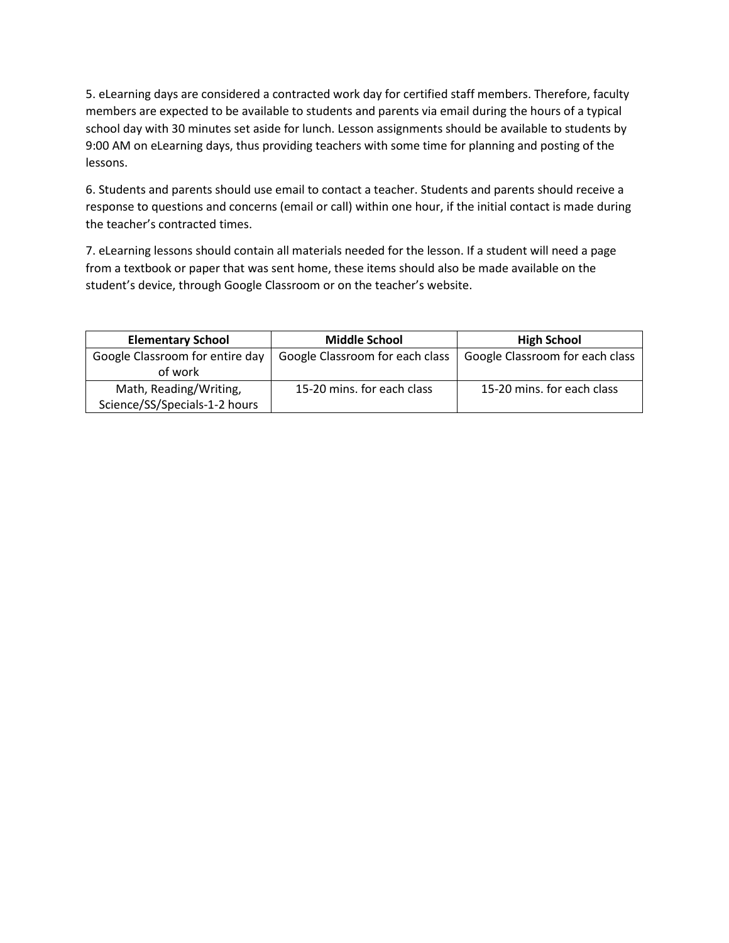5. eLearning days are considered a contracted work day for certified staff members. Therefore, faculty members are expected to be available to students and parents via email during the hours of a typical school day with 30 minutes set aside for lunch. Lesson assignments should be available to students by 9:00 AM on eLearning days, thus providing teachers with some time for planning and posting of the lessons.

6. Students and parents should use email to contact a teacher. Students and parents should receive a response to questions and concerns (email or call) within one hour, if the initial contact is made during the teacher's contracted times.

7. eLearning lessons should contain all materials needed for the lesson. If a student will need a page from a textbook or paper that was sent home, these items should also be made available on the student's device, through Google Classroom or on the teacher's website.

| <b>Elementary School</b>        | <b>Middle School</b>            | <b>High School</b>              |
|---------------------------------|---------------------------------|---------------------------------|
| Google Classroom for entire day | Google Classroom for each class | Google Classroom for each class |
| of work                         |                                 |                                 |
| Math, Reading/Writing,          | 15-20 mins. for each class      | 15-20 mins, for each class      |
| Science/SS/Specials-1-2 hours   |                                 |                                 |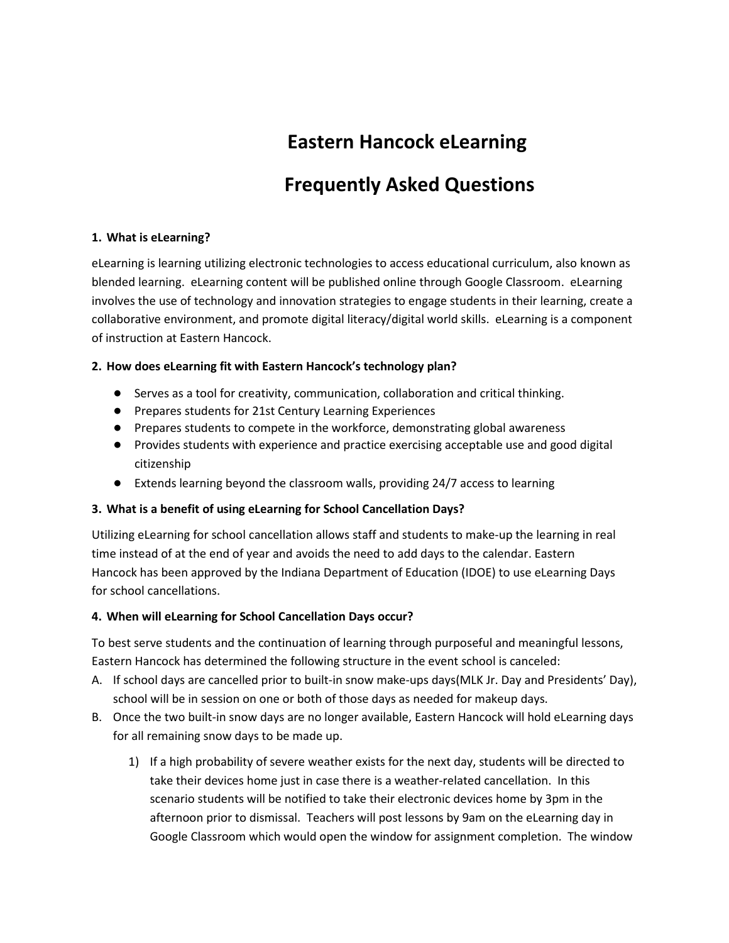# **Eastern Hancock eLearning**

## **Frequently Asked Questions**

### **1. What is eLearning?**

eLearning is learning utilizing electronic technologies to access educational curriculum, also known as blended learning. eLearning content will be published online through Google Classroom. eLearning involves the use of technology and innovation strategies to engage students in their learning, create a collaborative environment, and promote digital literacy/digital world skills. eLearning is a component of instruction at Eastern Hancock.

### **2. How does eLearning fit with Eastern Hancock's technology plan?**

- Serves as a tool for creativity, communication, collaboration and critical thinking.
- Prepares students for 21st Century Learning Experiences
- Prepares students to compete in the workforce, demonstrating global awareness
- Provides students with experience and practice exercising acceptable use and good digital citizenship
- Extends learning beyond the classroom walls, providing 24/7 access to learning

### **3. What is a benefit of using eLearning for School Cancellation Days?**

Utilizing eLearning for school cancellation allows staff and students to make-up the learning in real time instead of at the end of year and avoids the need to add days to the calendar. Eastern Hancock has been approved by the Indiana Department of Education (IDOE) to use eLearning Days for school cancellations.

### **4. When will eLearning for School Cancellation Days occur?**

To best serve students and the continuation of learning through purposeful and meaningful lessons, Eastern Hancock has determined the following structure in the event school is canceled:

- A. If school days are cancelled prior to built-in snow make-ups days(MLK Jr. Day and Presidents' Day), school will be in session on one or both of those days as needed for makeup days.
- B. Once the two built-in snow days are no longer available, Eastern Hancock will hold eLearning days for all remaining snow days to be made up.
	- 1) If a high probability of severe weather exists for the next day, students will be directed to take their devices home just in case there is a weather-related cancellation. In this scenario students will be notified to take their electronic devices home by 3pm in the afternoon prior to dismissal. Teachers will post lessons by 9am on the eLearning day in Google Classroom which would open the window for assignment completion. The window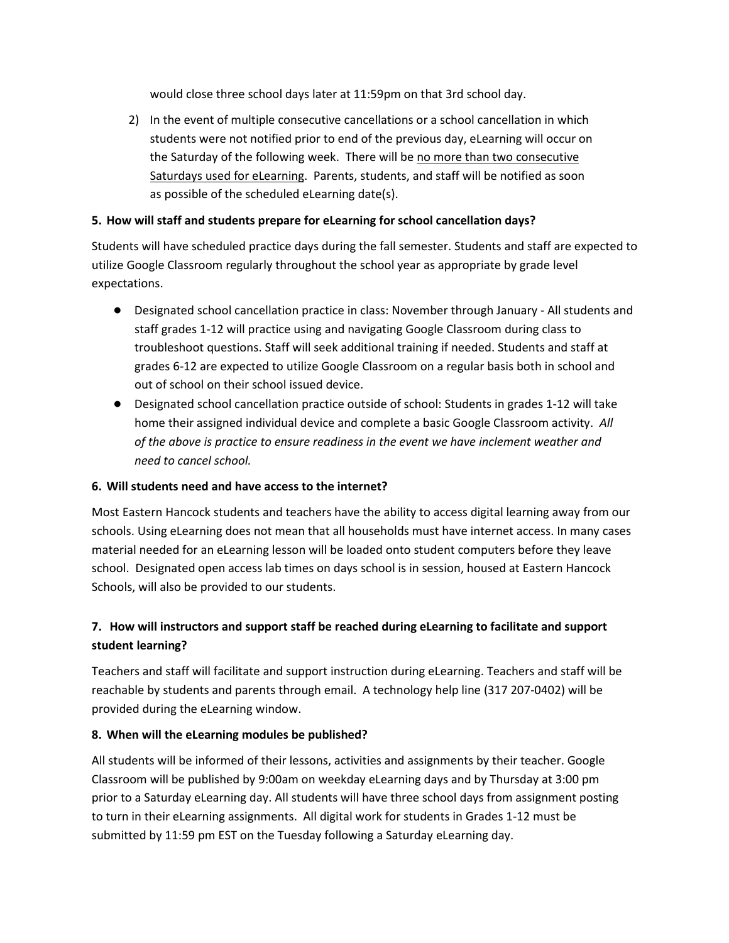would close three school days later at 11:59pm on that 3rd school day.

2) In the event of multiple consecutive cancellations or a school cancellation in which students were not notified prior to end of the previous day, eLearning will occur on the Saturday of the following week. There will be no more than two consecutive Saturdays used for eLearning. Parents, students, and staff will be notified as soon as possible of the scheduled eLearning date(s).

### **5. How will staff and students prepare for eLearning for school cancellation days?**

Students will have scheduled practice days during the fall semester. Students and staff are expected to utilize Google Classroom regularly throughout the school year as appropriate by grade level expectations.

- Designated school cancellation practice in class: November through January All students and staff grades 1-12 will practice using and navigating Google Classroom during class to troubleshoot questions. Staff will seek additional training if needed. Students and staff at grades 6-12 are expected to utilize Google Classroom on a regular basis both in school and out of school on their school issued device.
- Designated school cancellation practice outside of school: Students in grades 1-12 will take home their assigned individual device and complete a basic Google Classroom activity. *All of the above is practice to ensure readiness in the event we have inclement weather and need to cancel school.*

### **6. Will students need and have access to the internet?**

Most Eastern Hancock students and teachers have the ability to access digital learning away from our schools. Using eLearning does not mean that all households must have internet access. In many cases material needed for an eLearning lesson will be loaded onto student computers before they leave school. Designated open access lab times on days school is in session, housed at Eastern Hancock Schools, will also be provided to our students.

### **7. How will instructors and support staff be reached during eLearning to facilitate and support student learning?**

Teachers and staff will facilitate and support instruction during eLearning. Teachers and staff will be reachable by students and parents through email. A technology help line (317 207-0402) will be provided during the eLearning window.

### **8. When will the eLearning modules be published?**

All students will be informed of their lessons, activities and assignments by their teacher. Google Classroom will be published by 9:00am on weekday eLearning days and by Thursday at 3:00 pm prior to a Saturday eLearning day. All students will have three school days from assignment posting to turn in their eLearning assignments. All digital work for students in Grades 1-12 must be submitted by 11:59 pm EST on the Tuesday following a Saturday eLearning day.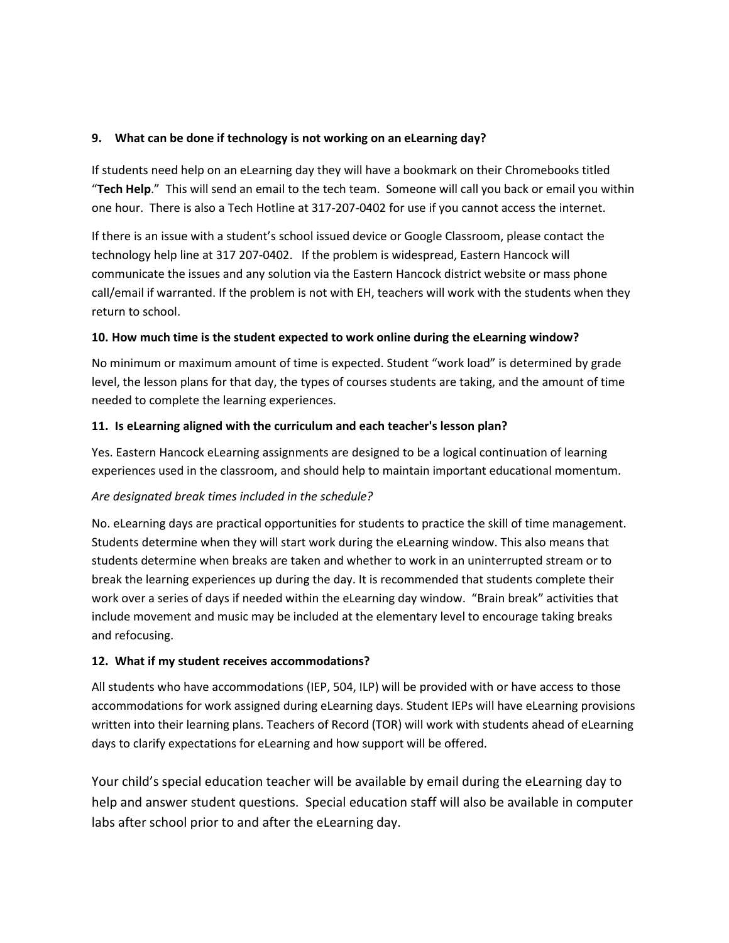### **9. What can be done if technology is not working on an eLearning day?**

If students need help on an eLearning day they will have a bookmark on their Chromebooks titled "**Tech Help**." This will send an email to the tech team. Someone will call you back or email you within one hour. There is also a Tech Hotline at 317-207-0402 for use if you cannot access the internet.

If there is an issue with a student's school issued device or Google Classroom, please contact the technology help line at 317 207-0402. If the problem is widespread, Eastern Hancock will communicate the issues and any solution via the Eastern Hancock district website or mass phone call/email if warranted. If the problem is not with EH, teachers will work with the students when they return to school.

### **10. How much time is the student expected to work online during the eLearning window?**

No minimum or maximum amount of time is expected. Student "work load" is determined by grade level, the lesson plans for that day, the types of courses students are taking, and the amount of time needed to complete the learning experiences.

### **11. Is eLearning aligned with the curriculum and each teacher's lesson plan?**

Yes. Eastern Hancock eLearning assignments are designed to be a logical continuation of learning experiences used in the classroom, and should help to maintain important educational momentum.

### *Are designated break times included in the schedule?*

No. eLearning days are practical opportunities for students to practice the skill of time management. Students determine when they will start work during the eLearning window. This also means that students determine when breaks are taken and whether to work in an uninterrupted stream or to break the learning experiences up during the day. It is recommended that students complete their work over a series of days if needed within the eLearning day window. "Brain break" activities that include movement and music may be included at the elementary level to encourage taking breaks and refocusing.

### **12. What if my student receives accommodations?**

All students who have accommodations (IEP, 504, ILP) will be provided with or have access to those accommodations for work assigned during eLearning days. Student IEPs will have eLearning provisions written into their learning plans. Teachers of Record (TOR) will work with students ahead of eLearning days to clarify expectations for eLearning and how support will be offered.

Your child's special education teacher will be available by email during the eLearning day to help and answer student questions. Special education staff will also be available in computer labs after school prior to and after the eLearning day.